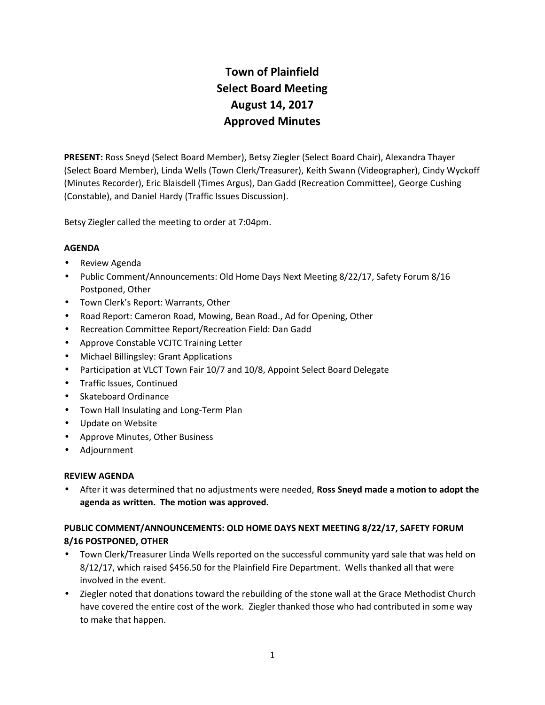# **Town of Plainfield Select Board Meeting August 14, 2017 Approved Minutes**

**PRESENT:** Ross Sneyd (Select Board Member), Betsy Ziegler (Select Board Chair), Alexandra Thayer (Select Board Member), Linda Wells (Town Clerk/Treasurer), Keith Swann (Videographer), Cindy Wyckoff (Minutes Recorder), Eric Blaisdell (Times Argus), Dan Gadd (Recreation Committee), George Cushing (Constable), and Daniel Hardy (Traffic Issues Discussion).

Betsy Ziegler called the meeting to order at 7:04pm.

# **AGENDA**

- Review Agenda
- Public Comment/Announcements: Old Home Days Next Meeting 8/22/17, Safety Forum 8/16 Postponed, Other
- Town Clerk's Report: Warrants, Other
- Road Report: Cameron Road, Mowing, Bean Road., Ad for Opening, Other
- Recreation Committee Report/Recreation Field: Dan Gadd
- Approve Constable VCJTC Training Letter
- Michael Billingsley: Grant Applications
- Participation at VLCT Town Fair 10/7 and 10/8, Appoint Select Board Delegate
- Traffic Issues, Continued
- Skateboard Ordinance
- Town Hall Insulating and Long-Term Plan
- Update on Website
- Approve Minutes, Other Business
- Adjournment

#### **REVIEW AGENDA**

 After it was determined that no adjustments were needed, **Ross Sneyd made a motion to adopt the agenda as written. The motion was approved.**

# **PUBLIC COMMENT/ANNOUNCEMENTS: OLD HOME DAYS NEXT MEETING 8/22/17, SAFETY FORUM 8/16 POSTPONED, OTHER**

- Town Clerk/Treasurer Linda Wells reported on the successful community yard sale that was held on 8/12/17, which raised \$456.50 for the Plainfield Fire Department. Wells thanked all that were involved in the event.
- Ziegler noted that donations toward the rebuilding of the stone wall at the Grace Methodist Church have covered the entire cost of the work. Ziegler thanked those who had contributed in some way to make that happen.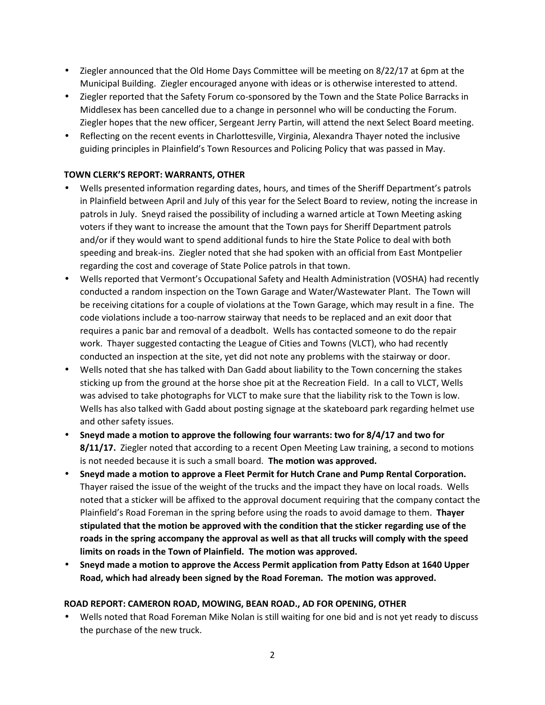- Ziegler announced that the Old Home Days Committee will be meeting on 8/22/17 at 6pm at the Municipal Building. Ziegler encouraged anyone with ideas or is otherwise interested to attend.
- Ziegler reported that the Safety Forum co-sponsored by the Town and the State Police Barracks in Middlesex has been cancelled due to a change in personnel who will be conducting the Forum. Ziegler hopes that the new officer, Sergeant Jerry Partin, will attend the next Select Board meeting.
- Reflecting on the recent events in Charlottesville, Virginia, Alexandra Thayer noted the inclusive guiding principles in Plainfield's Town Resources and Policing Policy that was passed in May.

# **TOWN CLERK'S REPORT: WARRANTS, OTHER**

- Wells presented information regarding dates, hours, and times of the Sheriff Department's patrols in Plainfield between April and July of this year for the Select Board to review, noting the increase in patrols in July. Sneyd raised the possibility of including a warned article at Town Meeting asking voters if they want to increase the amount that the Town pays for Sheriff Department patrols and/or if they would want to spend additional funds to hire the State Police to deal with both speeding and break-ins. Ziegler noted that she had spoken with an official from East Montpelier regarding the cost and coverage of State Police patrols in that town.
- Wells reported that Vermont's Occupational Safety and Health Administration (VOSHA) had recently conducted a random inspection on the Town Garage and Water/Wastewater Plant. The Town will be receiving citations for a couple of violations at the Town Garage, which may result in a fine. The code violations include a too-narrow stairway that needs to be replaced and an exit door that requires a panic bar and removal of a deadbolt. Wells has contacted someone to do the repair work. Thayer suggested contacting the League of Cities and Towns (VLCT), who had recently conducted an inspection at the site, yet did not note any problems with the stairway or door.
- Wells noted that she has talked with Dan Gadd about liability to the Town concerning the stakes sticking up from the ground at the horse shoe pit at the Recreation Field. In a call to VLCT, Wells was advised to take photographs for VLCT to make sure that the liability risk to the Town is low. Wells has also talked with Gadd about posting signage at the skateboard park regarding helmet use and other safety issues.
- **Sneyd made a motion to approve the following four warrants: two for 8/4/17 and two for 8/11/17.** Ziegler noted that according to a recent Open Meeting Law training, a second to motions is not needed because it is such a small board. **The motion was approved.**
- **Sneyd made a motion to approve a Fleet Permit for Hutch Crane and Pump Rental Corporation.** Thayer raised the issue of the weight of the trucks and the impact they have on local roads. Wells noted that a sticker will be affixed to the approval document requiring that the company contact the Plainfield's Road Foreman in the spring before using the roads to avoid damage to them. **Thayer stipulated that the motion be approved with the condition that the sticker regarding use of the roads in the spring accompany the approval as well as that all trucks will comply with the speed limits on roads in the Town of Plainfield. The motion was approved.**
- **Sneyd made a motion to approve the Access Permit application from Patty Edson at 1640 Upper Road, which had already been signed by the Road Foreman. The motion was approved.**

#### **ROAD REPORT: CAMERON ROAD, MOWING, BEAN ROAD., AD FOR OPENING, OTHER**

 Wells noted that Road Foreman Mike Nolan is still waiting for one bid and is not yet ready to discuss the purchase of the new truck.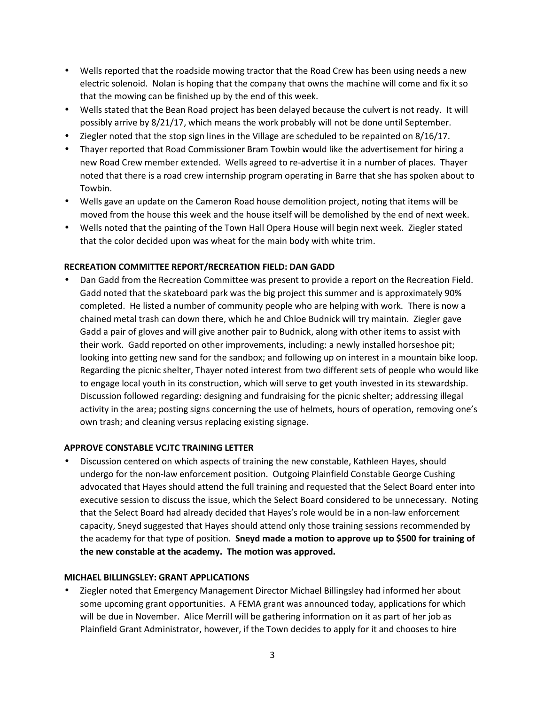- Wells reported that the roadside mowing tractor that the Road Crew has been using needs a new electric solenoid. Nolan is hoping that the company that owns the machine will come and fix it so that the mowing can be finished up by the end of this week.
- Wells stated that the Bean Road project has been delayed because the culvert is not ready. It will possibly arrive by 8/21/17, which means the work probably will not be done until September.
- $\bullet$  Ziegler noted that the stop sign lines in the Village are scheduled to be repainted on 8/16/17.
- Thayer reported that Road Commissioner Bram Towbin would like the advertisement for hiring a new Road Crew member extended. Wells agreed to re-advertise it in a number of places. Thayer noted that there is a road crew internship program operating in Barre that she has spoken about to Towbin.
- Wells gave an update on the Cameron Road house demolition project, noting that items will be moved from the house this week and the house itself will be demolished by the end of next week.
- Wells noted that the painting of the Town Hall Opera House will begin next week. Ziegler stated that the color decided upon was wheat for the main body with white trim.

# **RECREATION COMMITTEE REPORT/RECREATION FIELD: DAN GADD**

 Dan Gadd from the Recreation Committee was present to provide a report on the Recreation Field. Gadd noted that the skateboard park was the big project this summer and is approximately 90% completed. He listed a number of community people who are helping with work. There is now a chained metal trash can down there, which he and Chloe Budnick will try maintain. Ziegler gave Gadd a pair of gloves and will give another pair to Budnick, along with other items to assist with their work. Gadd reported on other improvements, including: a newly installed horseshoe pit; looking into getting new sand for the sandbox; and following up on interest in a mountain bike loop. Regarding the picnic shelter, Thayer noted interest from two different sets of people who would like to engage local youth in its construction, which will serve to get youth invested in its stewardship. Discussion followed regarding: designing and fundraising for the picnic shelter; addressing illegal activity in the area; posting signs concerning the use of helmets, hours of operation, removing one's own trash; and cleaning versus replacing existing signage.

#### **APPROVE CONSTABLE VCJTC TRAINING LETTER**

 Discussion centered on which aspects of training the new constable, Kathleen Hayes, should undergo for the non-law enforcement position. Outgoing Plainfield Constable George Cushing advocated that Hayes should attend the full training and requested that the Select Board enter into executive session to discuss the issue, which the Select Board considered to be unnecessary. Noting that the Select Board had already decided that Hayes's role would be in a non-law enforcement capacity, Sneyd suggested that Hayes should attend only those training sessions recommended by the academy for that type of position. **Sneyd made a motion to approve up to \$500 for training of the new constable at the academy. The motion was approved.**

#### **MICHAEL BILLINGSLEY: GRANT APPLICATIONS**

 Ziegler noted that Emergency Management Director Michael Billingsley had informed her about some upcoming grant opportunities. A FEMA grant was announced today, applications for which will be due in November. Alice Merrill will be gathering information on it as part of her job as Plainfield Grant Administrator, however, if the Town decides to apply for it and chooses to hire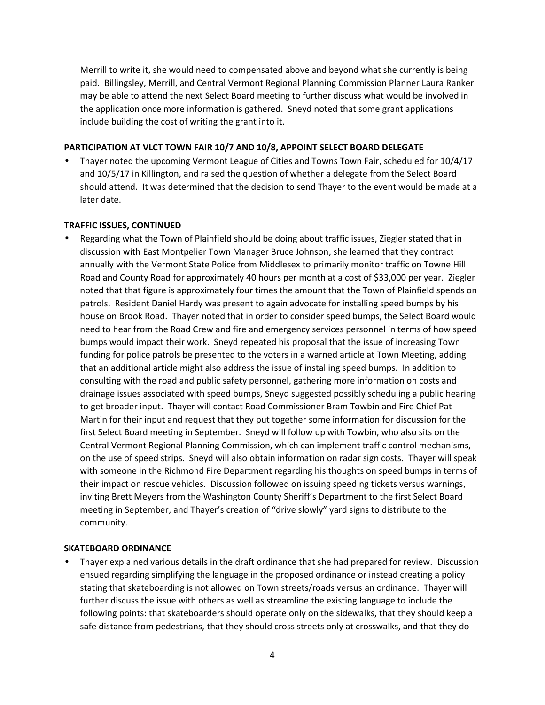Merrill to write it, she would need to compensated above and beyond what she currently is being paid. Billingsley, Merrill, and Central Vermont Regional Planning Commission Planner Laura Ranker may be able to attend the next Select Board meeting to further discuss what would be involved in the application once more information is gathered. Sneyd noted that some grant applications include building the cost of writing the grant into it.

#### **PARTICIPATION AT VLCT TOWN FAIR 10/7 AND 10/8, APPOINT SELECT BOARD DELEGATE**

 Thayer noted the upcoming Vermont League of Cities and Towns Town Fair, scheduled for 10/4/17 and 10/5/17 in Killington, and raised the question of whether a delegate from the Select Board should attend. It was determined that the decision to send Thayer to the event would be made at a later date.

#### **TRAFFIC ISSUES, CONTINUED**

 Regarding what the Town of Plainfield should be doing about traffic issues, Ziegler stated that in discussion with East Montpelier Town Manager Bruce Johnson, she learned that they contract annually with the Vermont State Police from Middlesex to primarily monitor traffic on Towne Hill Road and County Road for approximately 40 hours per month at a cost of \$33,000 per year. Ziegler noted that that figure is approximately four times the amount that the Town of Plainfield spends on patrols. Resident Daniel Hardy was present to again advocate for installing speed bumps by his house on Brook Road. Thayer noted that in order to consider speed bumps, the Select Board would need to hear from the Road Crew and fire and emergency services personnel in terms of how speed bumps would impact their work. Sneyd repeated his proposal that the issue of increasing Town funding for police patrols be presented to the voters in a warned article at Town Meeting, adding that an additional article might also address the issue of installing speed bumps. In addition to consulting with the road and public safety personnel, gathering more information on costs and drainage issues associated with speed bumps, Sneyd suggested possibly scheduling a public hearing to get broader input. Thayer will contact Road Commissioner Bram Towbin and Fire Chief Pat Martin for their input and request that they put together some information for discussion for the first Select Board meeting in September. Sneyd will follow up with Towbin, who also sits on the Central Vermont Regional Planning Commission, which can implement traffic control mechanisms, on the use of speed strips. Sneyd will also obtain information on radar sign costs. Thayer will speak with someone in the Richmond Fire Department regarding his thoughts on speed bumps in terms of their impact on rescue vehicles. Discussion followed on issuing speeding tickets versus warnings, inviting Brett Meyers from the Washington County Sheriff's Department to the first Select Board meeting in September, and Thayer's creation of "drive slowly" yard signs to distribute to the community.

#### **SKATEBOARD ORDINANCE**

 Thayer explained various details in the draft ordinance that she had prepared for review. Discussion ensued regarding simplifying the language in the proposed ordinance or instead creating a policy stating that skateboarding is not allowed on Town streets/roads versus an ordinance. Thayer will further discuss the issue with others as well as streamline the existing language to include the following points: that skateboarders should operate only on the sidewalks, that they should keep a safe distance from pedestrians, that they should cross streets only at crosswalks, and that they do